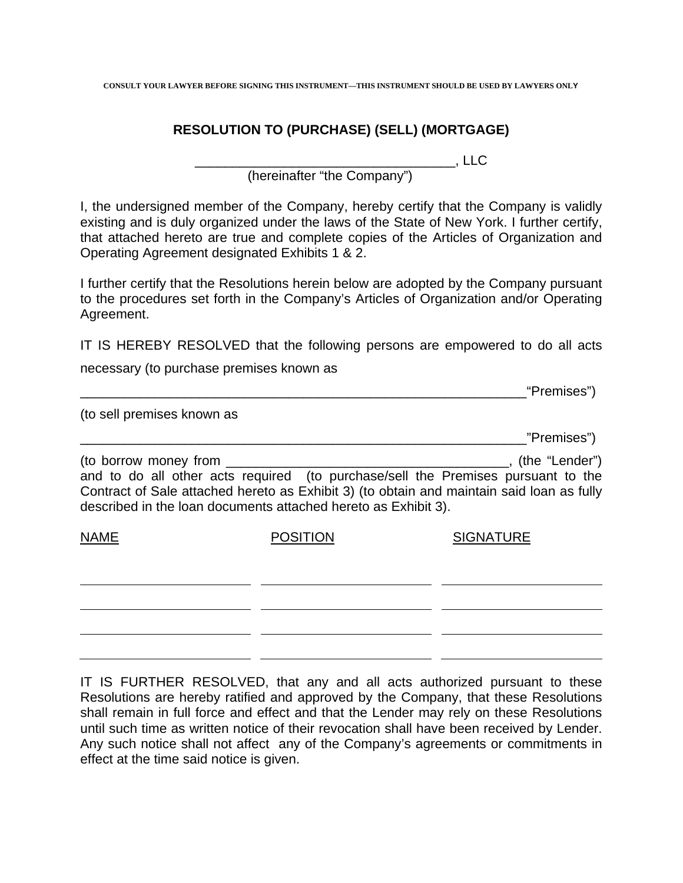**CONSULT YOUR LAWYER BEFORE SIGNING THIS INSTRUMENT—THIS INSTRUMENT SHOULD BE USED BY LAWYERS ONL**Y

## **RESOLUTION TO (PURCHASE) (SELL) (MORTGAGE)**

\_\_\_\_\_\_\_\_\_\_\_\_\_\_\_\_\_\_\_\_\_\_\_\_\_\_\_\_\_\_\_\_\_\_\_, LLC

(hereinafter "the Company")

I, the undersigned member of the Company, hereby certify that the Company is validly existing and is duly organized under the laws of the State of New York. I further certify, that attached hereto are true and complete copies of the Articles of Organization and Operating Agreement designated Exhibits 1 & 2.

I further certify that the Resolutions herein below are adopted by the Company pursuant to the procedures set forth in the Company's Articles of Organization and/or Operating Agreement.

IT IS HEREBY RESOLVED that the following persons are empowered to do all acts

necessary (to purchase premises known as

|                                                                                         |                 | "Premises")                                                                                                                                                                                     |
|-----------------------------------------------------------------------------------------|-----------------|-------------------------------------------------------------------------------------------------------------------------------------------------------------------------------------------------|
| (to sell premises known as                                                              |                 |                                                                                                                                                                                                 |
|                                                                                         |                 | "Premises")                                                                                                                                                                                     |
| (to borrow money from<br>described in the loan documents attached hereto as Exhibit 3). |                 | (the "Lender")<br>and to do all other acts required (to purchase/sell the Premises pursuant to the<br>Contract of Sale attached hereto as Exhibit 3) (to obtain and maintain said loan as fully |
| <b>NAME</b>                                                                             | <b>POSITION</b> | <b>SIGNATURE</b>                                                                                                                                                                                |
|                                                                                         |                 |                                                                                                                                                                                                 |

IT IS FURTHER RESOLVED, that any and all acts authorized pursuant to these Resolutions are hereby ratified and approved by the Company, that these Resolutions shall remain in full force and effect and that the Lender may rely on these Resolutions until such time as written notice of their revocation shall have been received by Lender. Any such notice shall not affect any of the Company's agreements or commitments in effect at the time said notice is given.